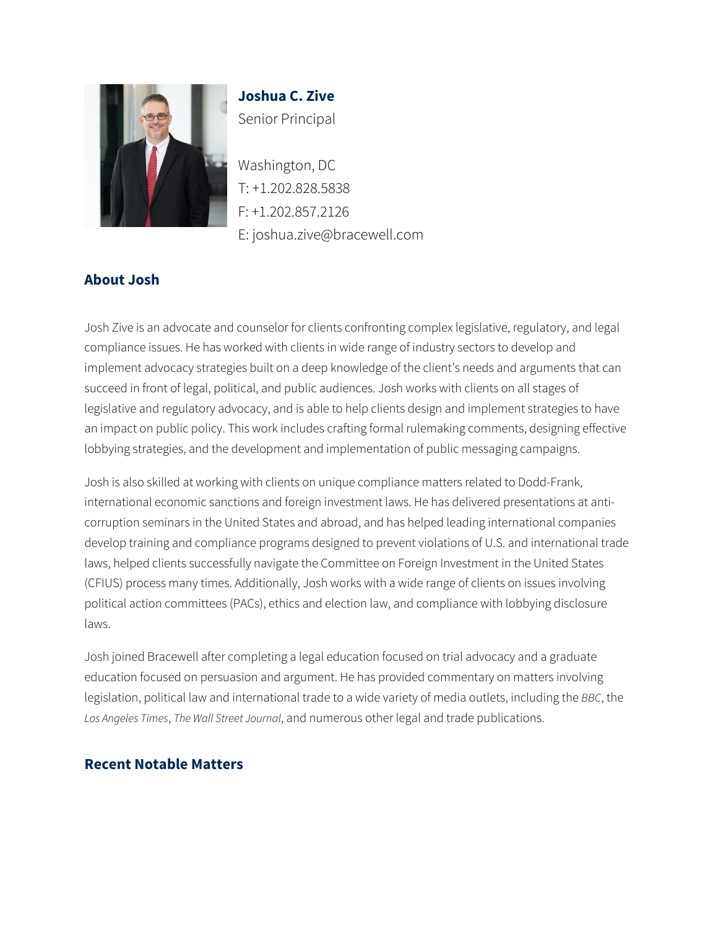

**Joshua C. Zive** Senior Principal

Washington, DC T: +1.202.828.5838 F: +1.202.857.2126 E: joshua.zive@bracewell.com

# **About Josh**

Josh Zive is an advocate and counselor for clients confronting complex legislative, regulatory, and legal compliance issues. He has worked with clients in wide range of industry sectors to develop and implement advocacy strategies built on a deep knowledge of the client's needs and arguments that can succeed in front of legal, political, and public audiences. Josh works with clients on all stages of legislative and regulatory advocacy, and is able to help clients design and implement strategies to have an impact on public policy. This work includes crafting formal rulemaking comments, designing effective lobbying strategies, and the development and implementation of public messaging campaigns.

Josh is also skilled at working with clients on unique compliance matters related to Dodd-Frank, international economic sanctions and foreign investment laws. He has delivered presentations at anticorruption seminars in the United States and abroad, and has helped leading international companies develop training and compliance programs designed to prevent violations of U.S. and international trade laws, helped clients successfully navigate the Committee on Foreign Investment in the United States (CFIUS) process many times. Additionally, Josh works with a wide range of clients on issues involving political action committees (PACs), ethics and election law, and compliance with lobbying disclosure laws.

Josh joined Bracewell after completing a legal education focused on trial advocacy and a graduate education focused on persuasion and argument. He has provided commentary on matters involving legislation, political law and international trade to a wide variety of media outlets, including the *BBC*, the *Los Angeles Times*, *The Wall Street Journal*, and numerous other legal and trade publications.

#### **Recent Notable Matters**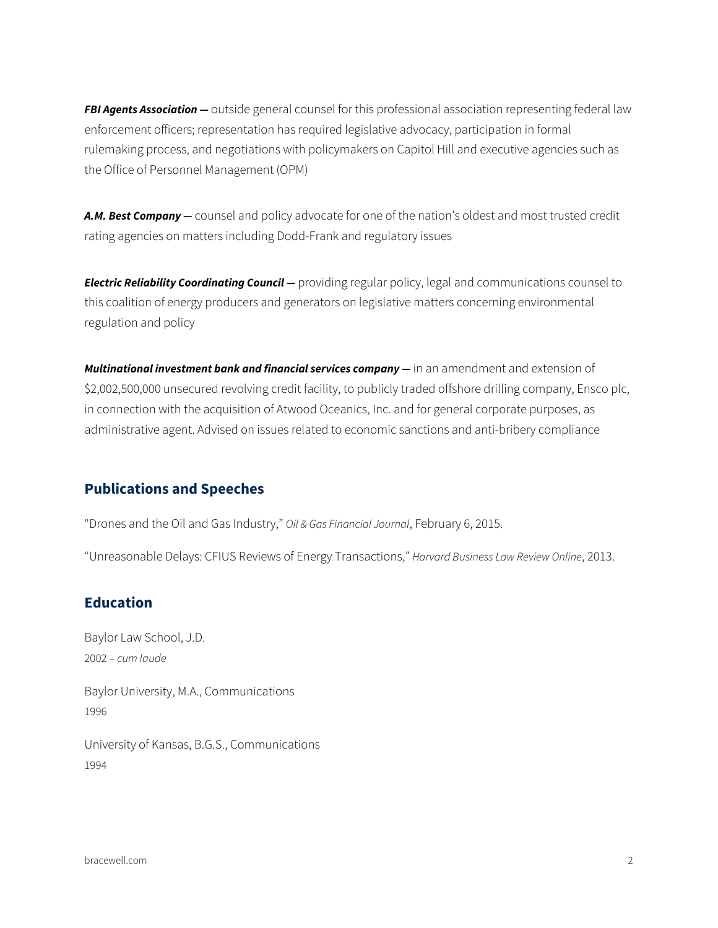*FBI Agents Association —* outside general counsel for this professional association representing federal law enforcement officers; representation has required legislative advocacy, participation in formal rulemaking process, and negotiations with policymakers on Capitol Hill and executive agencies such as the Office of Personnel Management (OPM)

*A.M. Best Company —* counsel and policy advocate for one of the nation's oldest and most trusted credit rating agencies on matters including Dodd-Frank and regulatory issues

**Electric Reliability Coordinating Council** — providing regular policy, legal and communications counsel to this coalition of energy producers and generators on legislative matters concerning environmental regulation and policy

*Multinational investment bank and financial services company —* in an amendment and extension of \$2,002,500,000 unsecured revolving credit facility, to publicly traded offshore drilling company, Ensco plc, in connection with the acquisition of Atwood Oceanics, Inc. and for general corporate purposes, as administrative agent. Advised on issues related to economic sanctions and anti-bribery compliance

### **Publications and Speeches**

"Drones and the Oil and Gas Industry," *Oil & Gas Financial Journal*, February 6, 2015.

"Unreasonable Delays: CFIUS Reviews of Energy Transactions," *Harvard Business Law Review Online*, 2013.

#### **Education**

Baylor Law School, J.D. 2002 – *cum laude*

Baylor University, M.A., Communications 1996

University of Kansas, B.G.S., Communications 1994